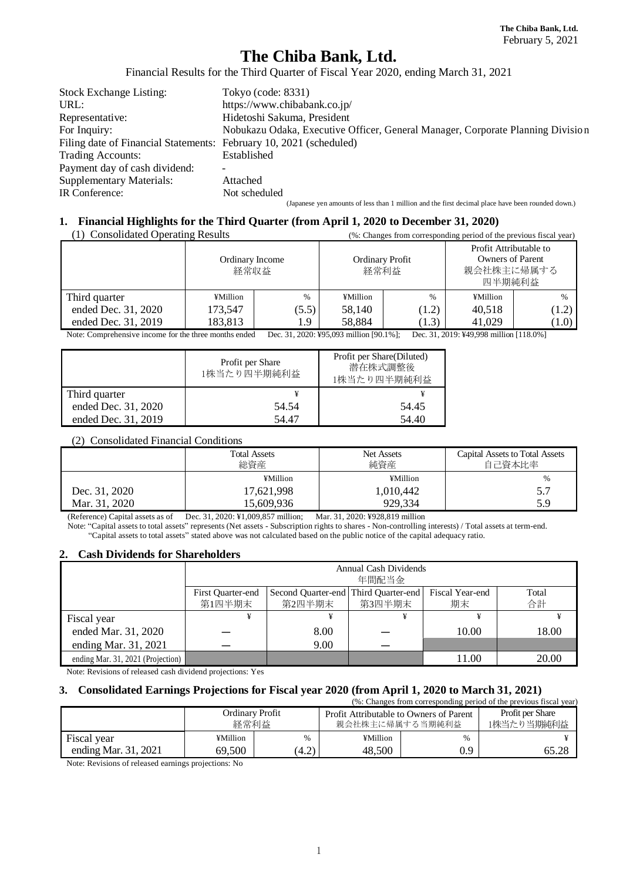# **The Chiba Bank, Ltd.**

Financial Results for the Third Quarter of Fiscal Year 2020, ending March 31, 2021

| <b>Stock Exchange Listing:</b>                                     | Tokyo (code: 8331)                                                                                |
|--------------------------------------------------------------------|---------------------------------------------------------------------------------------------------|
| URL:                                                               | https://www.chibabank.co.jp/                                                                      |
| Representative:                                                    | Hidetoshi Sakuma, President                                                                       |
| For Inquiry:                                                       | Nobukazu Odaka, Executive Officer, General Manager, Corporate Planning Division                   |
| Filing date of Financial Statements: February 10, 2021 (scheduled) |                                                                                                   |
| Trading Accounts:                                                  | Established                                                                                       |
| Payment day of cash dividend:                                      |                                                                                                   |
| <b>Supplementary Materials:</b>                                    | Attached                                                                                          |
| IR Conference:                                                     | Not scheduled                                                                                     |
|                                                                    | (Japanese yen amounts of less than 1 million and the first decimal place have been rounded down.) |

### **1. Financial Highlights for the Third Quarter (from April 1, 2020 to December 31, 2020)**

| (1) Consolidated Operating Results | (%: Changes from corresponding period of the previous fiscal year) |       |                         |       |                                                                           |       |  |
|------------------------------------|--------------------------------------------------------------------|-------|-------------------------|-------|---------------------------------------------------------------------------|-------|--|
|                                    | Ordinary Income<br>経常収益                                            |       | Ordinary Profit<br>経常利益 |       | Profit Attributable to<br><b>Owners of Parent</b><br>親会社株主に帰属する<br>四半期純利益 |       |  |
| Third quarter                      | ¥Million                                                           | $\%$  | ¥Million                | $\%$  | ¥Million                                                                  | $\%$  |  |
| ended Dec. 31, 2020                | 173.547                                                            | (5.5) | 58,140                  | (1.2) | 40.518                                                                    | (1.2) |  |
| ended Dec. 31, 2019                | 183,813                                                            | l.9   | 58,884                  | (1.3) | 41,029                                                                    | (1.0) |  |

Note: Comprehensive income for the three months ended Dec. 31, 2020: ¥95,093 million [90.1%]; Dec. 31, 2019: ¥49,998 million [118.0%]

|                     | Profit per Share<br>1株当たり四半期純利益 | Profit per Share(Diluted)<br>潜在株式調整後<br>1株当たり四半期純利益 |
|---------------------|---------------------------------|-----------------------------------------------------|
| Third quarter       | ¥                               |                                                     |
| ended Dec. 31, 2020 | 54.54                           | 54.45                                               |
| ended Dec. 31, 2019 | 54.47                           | 54.40                                               |

#### (2) Consolidated Financial Conditions

|               | <b>Total Assets</b><br>総資産 | <b>Net Assets</b><br>純資産 | <b>Capital Assets to Total Assets</b><br>自己資本比率 |  |
|---------------|----------------------------|--------------------------|-------------------------------------------------|--|
|               | ¥Million                   | ¥Million                 | $\frac{0}{0}$                                   |  |
| Dec. 31, 2020 | 17,621,998                 | 1,010,442                | 5.7                                             |  |
| Mar. 31, 2020 | 15.609.936                 | 929.334                  | 5.9                                             |  |

(Reference) Capital assets as of Dec. 31, 2020: ¥1,009,857 million; Mar. 31, 2020: ¥928,819 million

Note: "Capital assets to total assets" represents (Net assets - Subscription rights to shares - Non-controlling interests) / Total assets at term-end. "Capital assets to total assets" stated above was not calculated based on the public notice of the capital adequacy ratio.

#### **2. Cash Dividends for Shareholders**

|                                   | Annual Cash Dividends<br>年間配当金 |                                                                                                  |   |       |       |  |  |  |  |  |
|-----------------------------------|--------------------------------|--------------------------------------------------------------------------------------------------|---|-------|-------|--|--|--|--|--|
|                                   | First Quarter-end<br>第1四半期末    | Second Quarter-end Third Quarter-end<br>Fiscal Year-end<br>Total<br>合計<br>第2四半期末<br>第3四半期末<br>期末 |   |       |       |  |  |  |  |  |
| Fiscal year                       |                                |                                                                                                  | ¥ |       |       |  |  |  |  |  |
| ended Mar. 31, 2020               |                                | 8.00                                                                                             |   | 10.00 | 18.00 |  |  |  |  |  |
| ending Mar. 31, 2021              |                                | 9.00                                                                                             |   |       |       |  |  |  |  |  |
| ending Mar. 31, 2021 (Projection) |                                |                                                                                                  |   | 11.00 | 20.00 |  |  |  |  |  |

Note: Revisions of released cash dividend projections: Yes

# **3. Consolidated Earnings Projections for Fiscal year 2020 (from April 1, 2020 to March 31, 2021)**

| (%: Changes from corresponding period of the previous fiscal year) |                         |       |                                                            |                                |       |  |  |  |  |  |
|--------------------------------------------------------------------|-------------------------|-------|------------------------------------------------------------|--------------------------------|-------|--|--|--|--|--|
|                                                                    | Ordinary Profit<br>経常利益 |       | Profit Attributable to Owners of Parent<br>親会社株主に帰属する当期純利益 | Profit per Share<br>1株当たり当期純利益 |       |  |  |  |  |  |
| Fiscal year                                                        | ¥Million                | $\%$  | ¥Million                                                   | %                              |       |  |  |  |  |  |
| ending Mar. 31, 2021                                               | 69.500                  | (4.2) | 48,500                                                     | 0.9                            | 65.28 |  |  |  |  |  |

Note: Revisions of released earnings projections: No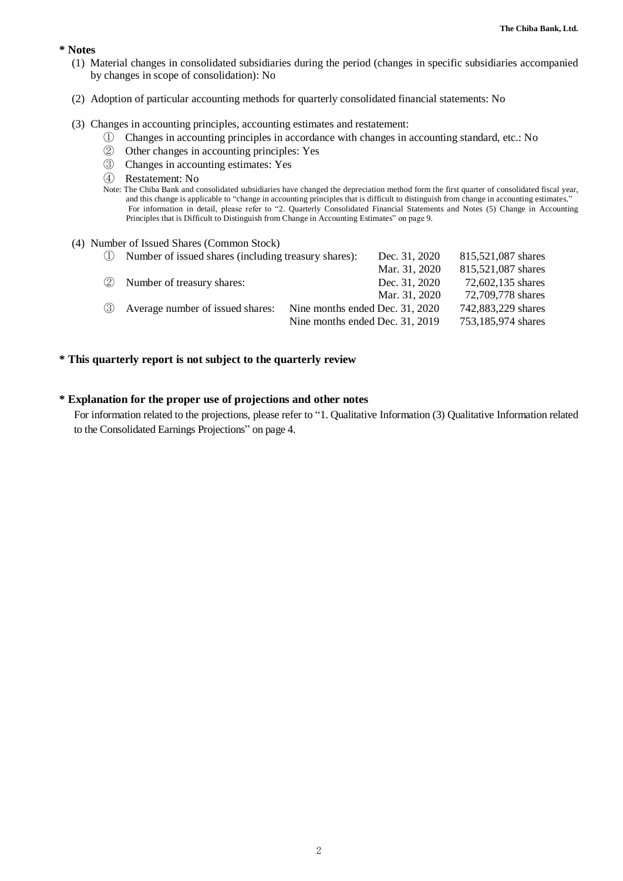#### **\* Notes**

- (1) Material changes in consolidated subsidiaries during the period (changes in specific subsidiaries accompanied by changes in scope of consolidation): No
- (2) Adoption of particular accounting methods for quarterly consolidated financial statements: No

#### (3) Changes in accounting principles, accounting estimates and restatement:

- ① Changes in accounting principles in accordance with changes in accounting standard, etc.: No
- ② Other changes in accounting principles: Yes
- ③ Changes in accounting estimates: Yes
- ④ Restatement: No
- Note: The Chiba Bank and consolidated subsidiaries have changed the depreciation method form the first quarter of consolidated fiscal year, and this change is applicable to "change in accounting principles that is difficult to distinguish from change in accounting estimates." For information in detail, please refer to "2. Quarterly Consolidated Financial Statements and Notes (5) Change in Accounting Principles that is Difficult to Distinguish from Change in Accounting Estimates" on page 9.

#### (4) Number of Issued Shares (Common Stock)

| (1) | Number of issued shares (including treasury shares): | Dec. 31, 2020                   | 815,521,087 shares |
|-----|------------------------------------------------------|---------------------------------|--------------------|
|     |                                                      | Mar. 31, 2020                   | 815,521,087 shares |
|     | 2 Number of treasury shares:                         | Dec. 31, 2020                   | 72,602,135 shares  |
|     |                                                      | Mar. 31, 2020                   | 72,709,778 shares  |
|     | 3 Average number of issued shares:                   | Nine months ended Dec. 31, 2020 | 742,883,229 shares |
|     |                                                      | Nine months ended Dec. 31, 2019 | 753,185,974 shares |

#### **\* This quarterly report is not subject to the quarterly review**

#### **\* Explanation for the proper use of projections and other notes**

For information related to the projections, please refer to "1. Qualitative Information (3) Qualitative Information related to the Consolidated Earnings Projections" on page 4.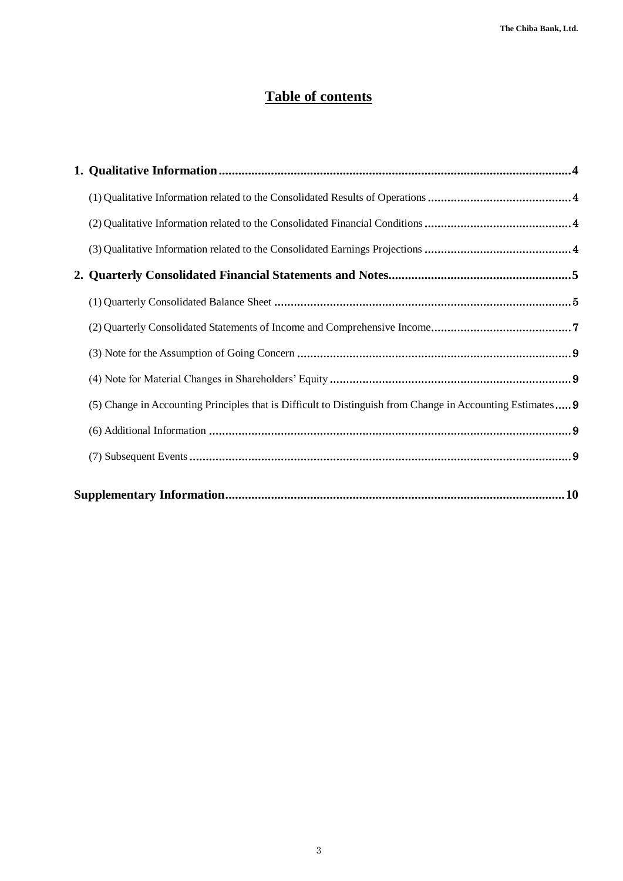# **Table of contents**

| (5) Change in Accounting Principles that is Difficult to Distinguish from Change in Accounting Estimates 9 |  |
|------------------------------------------------------------------------------------------------------------|--|
|                                                                                                            |  |
|                                                                                                            |  |
|                                                                                                            |  |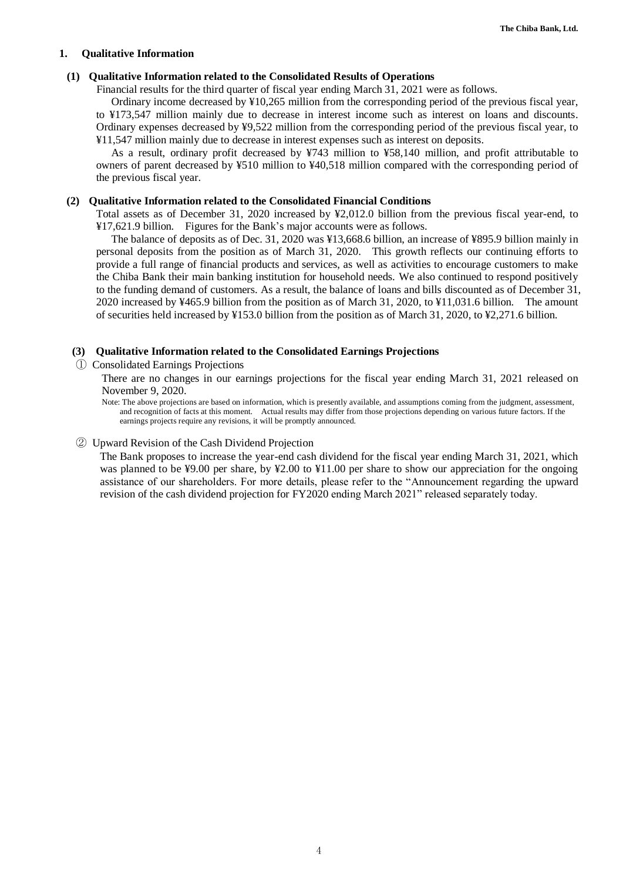#### <span id="page-3-0"></span>**1. Qualitative Information**

#### <span id="page-3-1"></span>**(1) Qualitative Information related to the Consolidated Results of Operations**

Financial results for the third quarter of fiscal year ending March 31, 2021 were as follows.

Ordinary income decreased by ¥10,265 million from the corresponding period of the previous fiscal year, to ¥173,547 million mainly due to decrease in interest income such as interest on loans and discounts. Ordinary expenses decreased by ¥9,522 million from the corresponding period of the previous fiscal year, to ¥11,547 million mainly due to decrease in interest expenses such as interest on deposits.

As a result, ordinary profit decreased by ¥743 million to ¥58,140 million, and profit attributable to owners of parent decreased by ¥510 million to ¥40,518 million compared with the corresponding period of the previous fiscal year.

#### <span id="page-3-2"></span>**(2) Qualitative Information related to the Consolidated Financial Conditions**

Total assets as of December 31, 2020 increased by ¥2,012.0 billion from the previous fiscal year-end, to ¥17,621.9 billion. Figures for the Bank's major accounts were as follows.

The balance of deposits as of Dec. 31, 2020 was ¥13,668.6 billion, an increase of ¥895.9 billion mainly in personal deposits from the position as of March 31, 2020. This growth reflects our continuing efforts to provide a full range of financial products and services, as well as activities to encourage customers to make the Chiba Bank their main banking institution for household needs. We also continued to respond positively to the funding demand of customers. As a result, the balance of loans and bills discounted as of December 31, 2020 increased by ¥465.9 billion from the position as of March 31, 2020, to ¥11,031.6 billion. The amount of securities held increased by ¥153.0 billion from the position as of March 31, 2020, to ¥2,271.6 billion.

#### <span id="page-3-3"></span>**(3) Qualitative Information related to the Consolidated Earnings Projections**

① Consolidated Earnings Projections

There are no changes in our earnings projections for the fiscal year ending March 31, 2021 released on November 9, 2020.

Note: The above projections are based on information, which is presently available, and assumptions coming from the judgment, assessment, and recognition of facts at this moment. Actual results may differ from those projections depending on various future factors. If the earnings projects require any revisions, it will be promptly announced.

#### ② Upward Revision of the Cash Dividend Projection

The Bank proposes to increase the year-end cash dividend for the fiscal year ending March 31, 2021, which was planned to be ¥9.00 per share, by ¥2.00 to ¥11.00 per share to show our appreciation for the ongoing assistance of our shareholders. For more details, please refer to the "Announcement regarding the upward revision of the cash dividend projection for FY2020 ending March 2021" released separately today.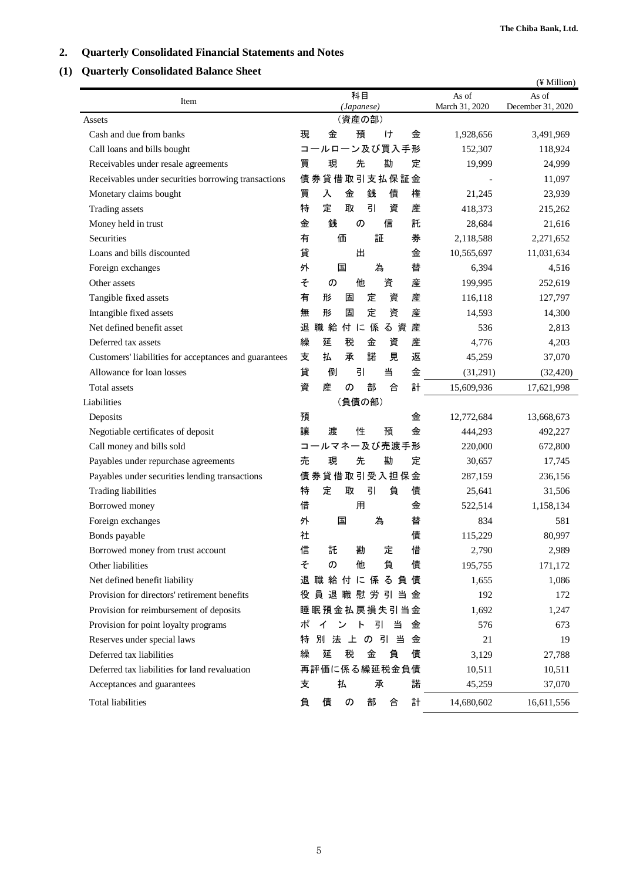# <span id="page-4-0"></span>**2. Quarterly Consolidated Financial Statements and Notes**

# <span id="page-4-1"></span>**(1) Quarterly Consolidated Balance Sheet**

|                                                       |                                        |                | (¥ Million)       |
|-------------------------------------------------------|----------------------------------------|----------------|-------------------|
| Item                                                  | 科目                                     | As of          | As of             |
|                                                       | (Japanese)<br>(資産の部)                   | March 31, 2020 | December 31, 2020 |
| Assets<br>Cash and due from banks                     | 現<br>金<br>預<br>ゖ<br>金                  | 1,928,656      | 3,491,969         |
| Call loans and bills bought                           | コールローン及び買入手形                           | 152,307        | 118,924           |
| Receivables under resale agreements                   | 先<br>勘<br>現<br>定<br>買                  | 19,999         | 24,999            |
| Receivables under securities borrowing transactions   | 債券貸借取引支払保証金                            |                | 11,097            |
| Monetary claims bought                                | 買<br>入<br>銭<br>権<br>金<br>債             | 21,245         | 23,939            |
| Trading assets                                        | 特<br>引<br>定<br>取<br>資<br>産             | 418,373        | 215,262           |
| Money held in trust                                   | 銭<br>金<br>の<br>信<br>託                  | 28,684         | 21,616            |
| Securities                                            | 有<br>証<br>価<br>券                       | 2,118,588      | 2,271,652         |
|                                                       | 貸<br>出<br>金                            |                |                   |
| Loans and bills discounted                            | 為                                      | 10,565,697     | 11,031,634        |
| Foreign exchanges<br>Other assets                     | 替<br>外<br>国<br>そ<br>他<br>資<br>産        | 6,394          | 4,516             |
|                                                       | の                                      | 199,995        | 252,619           |
| Tangible fixed assets                                 | 有<br>資<br>産<br>形<br>定<br>固             | 116,118        | 127,797           |
| Intangible fixed assets                               | 定<br>資<br>無<br>形<br>固<br>産             | 14,593         | 14,300            |
| Net defined benefit asset                             | 産<br>退<br>職給<br>付に<br>係<br>る資          | 536            | 2,813             |
| Deferred tax assets                                   | 繰<br>延<br>税<br>金<br>産<br>資             | 4,776          | 4,203             |
| Customers' liabilities for acceptances and guarantees | 諾<br>返<br>支<br>払<br>承<br>見             | 45,259         | 37,070            |
| Allowance for loan losses                             | 貸<br>引<br>当<br>金<br>倒                  | (31,291)       | (32, 420)         |
| Total assets                                          | 計<br>資<br>産<br>部<br>合<br>$\sigma$      | 15,609,936     | 17,621,998        |
| Liabilities                                           | (負債の部)                                 |                |                   |
| Deposits                                              | 預<br>金                                 | 12,772,684     | 13,668,673        |
| Negotiable certificates of deposit                    | 譲<br>渡<br>性<br>金<br>預                  | 444,293        | 492,227           |
| Call money and bills sold                             | コールマネー及び売渡手形                           | 220,000        | 672,800           |
| Payables under repurchase agreements                  | 勘<br>売<br>現<br>先<br>定                  | 30,657         | 17,745            |
| Payables under securities lending transactions        | 債券貸借取引受入担保金                            | 287,159        | 236,156           |
| <b>Trading liabilities</b>                            | 特<br>定<br>引<br>負<br>債<br>取             | 25,641         | 31,506            |
| Borrowed money                                        | 借<br>用<br>金                            | 522,514        | 1,158,134         |
| Foreign exchanges                                     | 為<br>外<br>国<br>替                       | 834            | 581               |
| Bonds payable                                         | 債<br>社                                 | 115,229        | 80,997            |
| Borrowed money from trust account                     | 託<br>勘<br>定<br>借<br>信                  | 2,790          | 2,989             |
| Other liabilities                                     | そ<br>負<br>他<br>債<br>の                  | 195,755        | 171,172           |
| Net defined benefit liability                         | 退職給付に係る負債                              | 1,655          | 1,086             |
| Provision for directors' retirement benefits          | 役員退職慰労引当金                              | 192            | 172               |
| Provision for reimbursement of deposits               | 睡眠預金払戻損失引当金                            | 1,692          | 1,247             |
| Provision for point loyalty programs                  | 引<br>ポ<br>当<br>金<br>イ<br>ン<br>$\vdash$ | 576            | 673               |
| Reserves under special laws                           | 引当<br>別法上の<br>金<br>特                   | 21             | 19                |
| Deferred tax liabilities                              | 税<br>金<br>債<br>延<br>負<br>繰             | 3,129          | 27,788            |
| Deferred tax liabilities for land revaluation         | 再評価に係る繰延税金負債                           | 10,511         | 10,511            |
| Acceptances and guarantees                            | 払<br>諾<br>支<br>承                       | 45,259         | 37,070            |
| <b>Total liabilities</b>                              | 計<br>負<br>部<br>債<br>の<br>合             | 14,680,602     | 16,611,556        |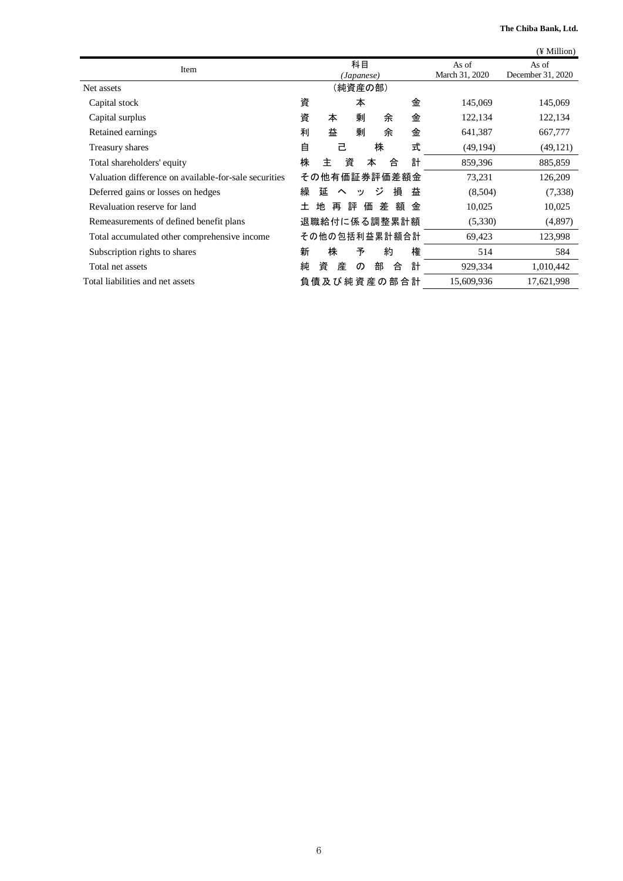**The Chiba Bank, Ltd.**

|                                                       |       |                                             |        |          |         |   |   |            | (¥ Million)                |
|-------------------------------------------------------|-------|---------------------------------------------|--------|----------|---------|---|---|------------|----------------------------|
| Item                                                  |       | 科目<br>As of<br>March 31, 2020<br>(Japanese) |        |          |         |   |   |            | As of<br>December 31, 2020 |
| Net assets                                            |       |                                             |        |          | (純資産の部) |   |   |            |                            |
| Capital stock                                         | 資     |                                             |        | 本        |         |   | 金 | 145,069    | 145,069                    |
| Capital surplus                                       | 資     | 本                                           |        | 剰        | 余       |   | 金 | 122,134    | 122,134                    |
| Retained earnings                                     | 利     | 益                                           |        | 剰        | 余       |   | 金 | 641,387    | 667,777                    |
| Treasury shares                                       | 自     |                                             | 己      |          | 株       |   | 式 | (49, 194)  | (49, 121)                  |
| Total shareholders' equity                            | 株     | 主                                           | 資      |          | 本       | 合 | 計 | 859,396    | 885,859                    |
| Valuation difference on available-for-sale securities |       | その他有価証券評価差額金                                |        |          |         |   |   | 73,231     | 126,209                    |
| Deferred gains or losses on hedges                    | 繰     | 延                                           | $\sim$ | ッ        | ジ       | 損 | 益 | (8,504)    | (7,338)                    |
| Revaluation reserve for land                          | $\pm$ | 地                                           | 再      | 評        | 価<br>差  | 額 | 金 | 10,025     | 10,025                     |
| Remeasurements of defined benefit plans               |       | 退職給付に係る調整累計額                                |        |          |         |   |   | (5,330)    | (4,897)                    |
| Total accumulated other comprehensive income          |       | その他の包括利益累計額合計                               |        |          |         |   |   | 69,423     | 123,998                    |
| Subscription rights to shares                         | 新     | 株                                           |        | 予        | 約       |   | 権 | 514        | 584                        |
| Total net assets                                      | 純     | 資                                           | 産      | $\sigma$ | 部       | 合 | 計 | 929,334    | 1,010,442                  |
| Total liabilities and net assets                      |       | 負 債 及 び 純 資 産 の 部 合 計                       |        |          |         |   |   | 15,609,936 | 17,621,998                 |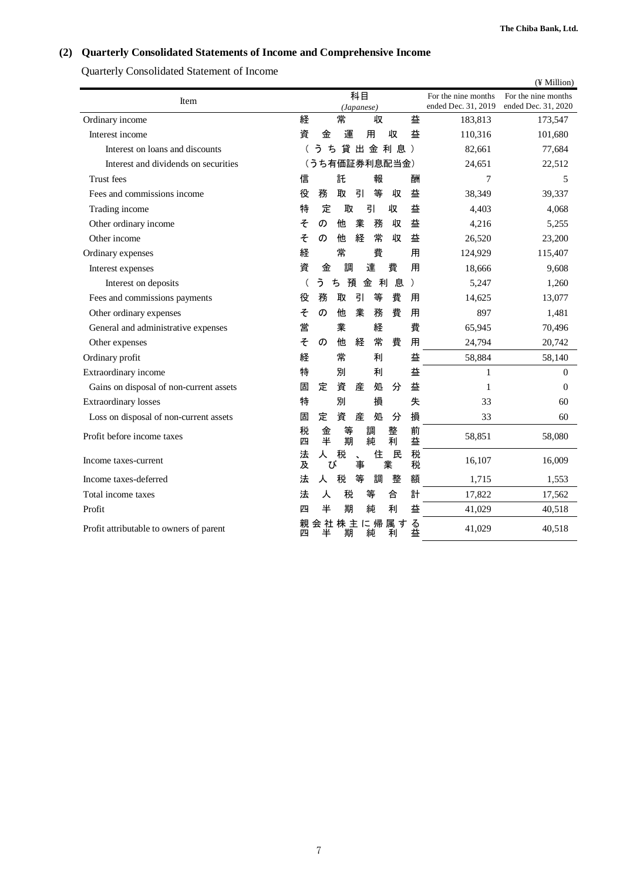# <span id="page-6-0"></span>**(2) Quarterly Consolidated Statements of Income and Comprehensive Income**

Quarterly Consolidated Statement of Income

|                                         |         |             |        |                  |        |               |               |                                            | (¥ Million)                                |
|-----------------------------------------|---------|-------------|--------|------------------|--------|---------------|---------------|--------------------------------------------|--------------------------------------------|
| Item                                    |         |             |        | 科目<br>(Japanese) |        |               |               | For the nine months<br>ended Dec. 31, 2019 | For the nine months<br>ended Dec. 31, 2020 |
| Ordinary income                         | 経       |             | 常      |                  | 収      |               | 益             | 183,813                                    | 173,547                                    |
| Interest income                         | 資       | 金           | 運      |                  | 用      | 収             | 益             | 110,316                                    | 101,680                                    |
| Interest on loans and discounts         |         | う           | ち      |                  |        | 貸出金利息)        |               | 82,661                                     | 77,684                                     |
| Interest and dividends on securities    |         |             |        |                  |        | (うち有価証券利息配当金) |               | 24,651                                     | 22,512                                     |
| Trust fees                              | 信       |             | 託      |                  | 報      |               | 酬             | 7                                          | 5                                          |
| Fees and commissions income             | 役       | 務           | 取      | 引                | 等      | 収             | 益             | 38,349                                     | 39,337                                     |
| Trading income                          | 特       | 定           | 取      |                  | 引      | 収             | 益             | 4,403                                      | 4,068                                      |
| Other ordinary income                   | そ       | の           | 他      | 業                | 務      | 収             | 益             | 4,216                                      | 5,255                                      |
| Other income                            | そ       | の           | 他      | 経                | 常      | 収             | 益             | 26,520                                     | 23,200                                     |
| Ordinary expenses                       | 経       |             | 常      |                  | 費      |               | 用             | 124,929                                    | 115,407                                    |
| Interest expenses                       | 資       | 金           | 調      |                  | 達      | 費             | 用             | 18,666                                     | 9,608                                      |
| Interest on deposits                    |         | う           | ち      | 預                | 金      | 息<br>利        | $\mathcal{E}$ | 5,247                                      | 1,260                                      |
| Fees and commissions payments           | 役       | 務           | 取      | 引                | 等      | 費             | 用             | 14,625                                     | 13,077                                     |
| Other ordinary expenses                 | そ       | の           | 他      | 業                | 務      | 費             | 用             | 897                                        | 1,481                                      |
| General and administrative expenses     | 営       |             | 業      |                  | 経      |               | 費             | 65,945                                     | 70,496                                     |
| Other expenses                          | そ       | の           | 他      | 経                | 常      | 費             | 用             | 24,794                                     | 20,742                                     |
| Ordinary profit                         | 経       |             | 常      |                  | 利      |               | 益             | 58,884                                     | 58,140                                     |
| Extraordinary income                    | 特       |             | 別      |                  | 利      |               | 益             | 1                                          | $\overline{0}$                             |
| Gains on disposal of non-current assets | 固       | 定           | 資      | 産                | 処      | 分             | 益             | 1                                          | $\Omega$                                   |
| <b>Extraordinary losses</b>             | 特       |             | 別      |                  | 損      |               | 失             | 33                                         | 60                                         |
| Loss on disposal of non-current assets  | 固       | 定           | 資      | 産                | 処      | 分             | 損             | 33                                         | 60                                         |
| Profit before income taxes              | 税<br>四  | 金<br>半      | 等<br>期 |                  | 調<br>純 | 整<br>利        | 前<br>益        | 58,851                                     | 58,080                                     |
| Income taxes-current                    | 法<br>及  | 人           | 税<br>び | $\ddotmark$<br>事 | 住      | 民<br>業        | 税<br>税        | 16,107                                     | 16,009                                     |
| Income taxes-deferred                   | 法       | 人           | 税      | 等                | 調      | 整             | 額             | 1,715                                      | 1,553                                      |
| Total income taxes                      | 法       | 人           | 税      |                  | 等      | 合             | 計             | 17,822                                     | 17,562                                     |
| Profit                                  | 四       | 半           | 期      |                  | 純      | 利             | 益             | 41,029                                     | 40,518                                     |
| Profit attributable to owners of parent | 親<br>лч | 会社株主に帰<br>半 | 期      |                  | 純      | 属す<br>利       | る益            | 41,029                                     | 40,518                                     |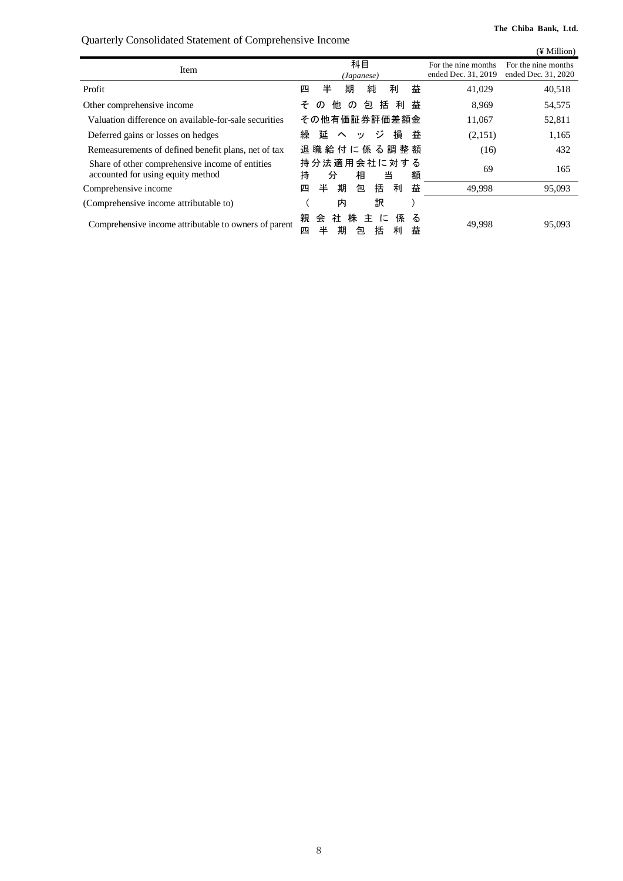Quarterly Consolidated Statement of Comprehensive Income

<span id="page-7-0"></span>

|                                                                                      |                                                                      |                                            | (¥ Million)                                |
|--------------------------------------------------------------------------------------|----------------------------------------------------------------------|--------------------------------------------|--------------------------------------------|
| Item                                                                                 | 科目<br>(Japanese)                                                     | For the nine months<br>ended Dec. 31, 2019 | For the nine months<br>ended Dec. 31, 2020 |
| Profit                                                                               | 純<br>益<br>半<br>期<br>利<br>四                                           | 41,029                                     | 40,518                                     |
| Other comprehensive income                                                           | 括<br>利<br>他<br>包<br>そ<br>益<br>$\sigma$<br>$\sigma$                   | 8,969                                      | 54,575                                     |
| Valuation difference on available-for-sale securities                                | その他有価証券評価差額金                                                         | 11,067                                     | 52,811                                     |
| Deferred gains or losses on hedges                                                   | 繰<br>ージー<br>損<br>延<br>益<br>$\sim$<br>ッ                               | (2,151)                                    | 1,165                                      |
| Remeasurements of defined benefit plans, net of tax                                  | 退 職 給 付 に 係 る 調 整 額                                                  | (16)                                       | 432                                        |
| Share of other comprehensive income of entities<br>accounted for using equity method | 持分法適用会社に対する<br>持<br>相<br>額<br>当<br>分                                 | 69                                         | 165                                        |
| Comprehensive income                                                                 | 益<br>期<br>括<br>半<br>利<br>包<br>四                                      | 49,998                                     | 95,093                                     |
| (Comprehensive income attributable to)                                               | 訳<br>内                                                               |                                            |                                            |
| Comprehensive income attributable to owners of parent                                | 親<br>社 株<br>会<br>主<br>に<br>係<br>る<br>半<br>括<br>期<br>四<br>利<br>益<br>包 | 49,998                                     | 95,093                                     |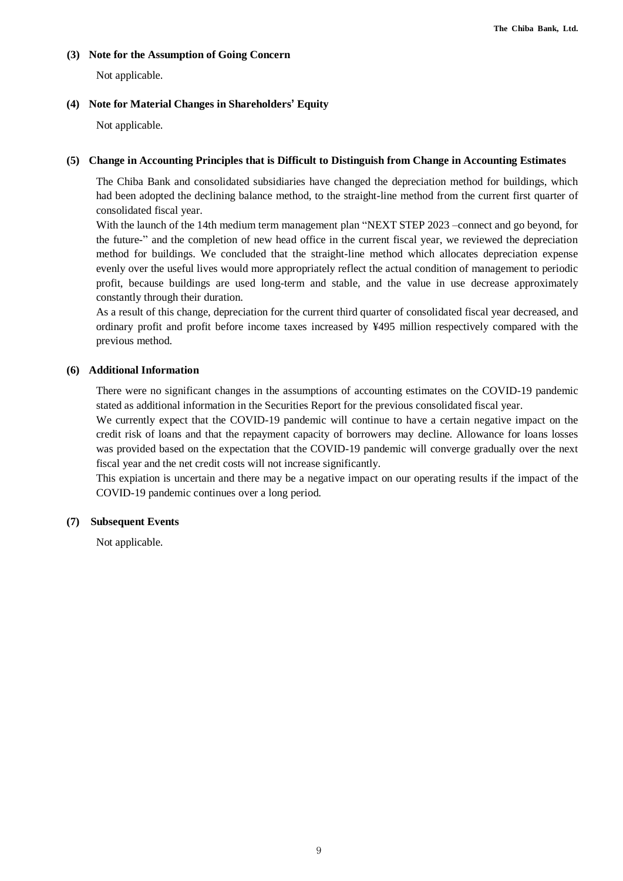#### **(3) Note for the Assumption of Going Concern**

Not applicable.

#### <span id="page-8-0"></span>**(4) Note for Material Changes in Shareholders' Equity**

Not applicable.

#### **(5) Change in Accounting Principles that is Difficult to Distinguish from Change in Accounting Estimates**

The Chiba Bank and consolidated subsidiaries have changed the depreciation method for buildings, which had been adopted the declining balance method, to the straight-line method from the current first quarter of consolidated fiscal year.

With the launch of the 14th medium term management plan "NEXT STEP 2023 –connect and go beyond, for the future-" and the completion of new head office in the current fiscal year, we reviewed the depreciation method for buildings. We concluded that the straight-line method which allocates depreciation expense evenly over the useful lives would more appropriately reflect the actual condition of management to periodic profit, because buildings are used long-term and stable, and the value in use decrease approximately constantly through their duration.

As a result of this change, depreciation for the current third quarter of consolidated fiscal year decreased, and ordinary profit and profit before income taxes increased by ¥495 million respectively compared with the previous method.

#### **(6) Additional Information**

There were no significant changes in the assumptions of accounting estimates on the COVID-19 pandemic stated as additional information in the Securities Report for the previous consolidated fiscal year.

We currently expect that the COVID-19 pandemic will continue to have a certain negative impact on the credit risk of loans and that the repayment capacity of borrowers may decline. Allowance for loans losses was provided based on the expectation that the COVID-19 pandemic will converge gradually over the next fiscal year and the net credit costs will not increase significantly.

This expiation is uncertain and there may be a negative impact on our operating results if the impact of the COVID-19 pandemic continues over a long period.

#### **(7) Subsequent Events**

Not applicable.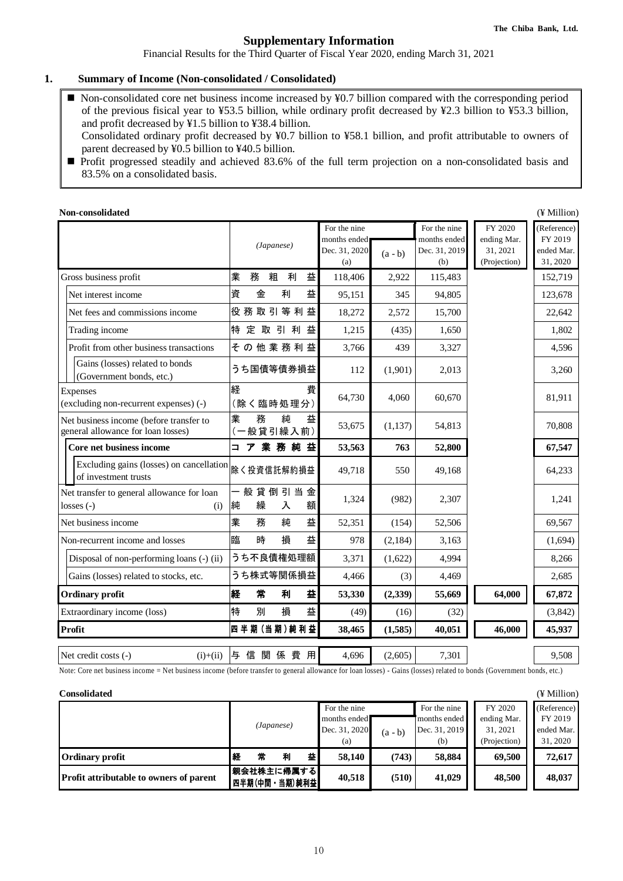#### **Supplementary Information**

Financial Results for the Third Quarter of Fiscal Year 2020, ending March 31, 2021

#### <span id="page-9-0"></span>**1. Summary of Income (Non-consolidated / Consolidated)**

- Non-consolidated core net business income increased by ¥0.7 billion compared with the corresponding period of the previous fisical year to ¥53.5 billion, while ordinary profit decreased by ¥2.3 billion to ¥53.3 billion, and profit decreased by ¥1.5 billion to ¥38.4 billion.
- Consolidated ordinary profit decreased by ¥0.7 billion to ¥58.1 billion, and profit attributable to owners of parent decreased by ¥0.5 billion to ¥40.5 billion.
- Profit progressed steadily and achieved 83.6% of the full term projection on a non-consolidated basis and 83.5% on a consolidated basis.

| Non-consolidated                                                              |                               |                                                      |           |                                                      |                                                    | (¥ Million)                                      |
|-------------------------------------------------------------------------------|-------------------------------|------------------------------------------------------|-----------|------------------------------------------------------|----------------------------------------------------|--------------------------------------------------|
|                                                                               | (Japanese)                    | For the nine<br>months ended<br>Dec. 31, 2020<br>(a) | $(a - b)$ | For the nine<br>months ended<br>Dec. 31, 2019<br>(b) | FY 2020<br>ending Mar.<br>31, 2021<br>(Projection) | (Reference)<br>FY 2019<br>ended Mar.<br>31, 2020 |
| Gross business profit                                                         | 業<br>益<br>務<br>粗<br>利         | 118,406                                              | 2,922     | 115,483                                              |                                                    | 152,719                                          |
| Net interest income                                                           | 資<br>益<br>金<br>利              | 95,151                                               | 345       | 94,805                                               |                                                    | 123,678                                          |
| Net fees and commissions income                                               | 役務取引等利益                       | 18,272                                               | 2,572     | 15,700                                               |                                                    | 22,642                                           |
| Trading income                                                                | 特<br>定 取 引 利<br>益             | 1,215                                                | (435)     | 1,650                                                |                                                    | 1,802                                            |
| Profit from other business transactions                                       | その他業務利益                       | 3,766                                                | 439       | 3,327                                                |                                                    | 4,596                                            |
| Gains (losses) related to bonds<br>(Government bonds, etc.)                   | うち国債等債券損益                     | 112                                                  | (1,901)   | 2,013                                                |                                                    | 3,260                                            |
| <b>Expenses</b><br>(excluding non-recurrent expenses) (-)                     | 経<br>費<br>(除く臨時処理分)           | 64,730                                               | 4,060     | 60,670                                               |                                                    | 81,911                                           |
| Net business income (before transfer to<br>general allowance for loan losses) | 業<br>務<br>純<br>益<br>(一般貸引繰入前) | 53,675                                               | (1,137)   | 54,813                                               |                                                    | 70,808                                           |
| Core net business income                                                      | コア業務純益                        | 53,563                                               | 763       | 52,800                                               |                                                    | 67,547                                           |
| Excluding gains (losses) on cancellation<br>of investment trusts              | 除く投資信託解約損益                    | 49,718                                               | 550       | 49,168                                               |                                                    | 64,233                                           |
| Net transfer to general allowance for loan<br>$losses(-)$<br>(i)              | 般貸倒引当金<br>純<br>繰<br>入<br>額    | 1,324                                                | (982)     | 2,307                                                |                                                    | 1,241                                            |
| Net business income                                                           | 業<br>益<br>務<br>純              | 52,351                                               | (154)     | 52,506                                               |                                                    | 69,567                                           |
| Non-recurrent income and losses                                               | 益<br>臨<br>時<br>損              | 978                                                  | (2,184)   | 3,163                                                |                                                    | (1,694)                                          |
| Disposal of non-performing loans (-) (ii)                                     | うち不良債権処理額                     | 3,371                                                | (1,622)   | 4,994                                                |                                                    | 8,266                                            |
| Gains (losses) related to stocks, etc.                                        | うち株式等関係損益                     | 4,466                                                | (3)       | 4,469                                                |                                                    | 2,685                                            |
| <b>Ordinary profit</b>                                                        | 経<br>常<br>益<br>利              | 53,330                                               | (2,339)   | 55,669                                               | 64,000                                             | 67,872                                           |
| Extraordinary income (loss)                                                   | 特<br>別<br>損<br>益              | (49)                                                 | (16)      | (32)                                                 |                                                    | (3,842)                                          |
| Profit                                                                        | 四半期(当期)純利益                    | 38,465                                               | (1,585)   | 40,051                                               | 46,000                                             | 45,937                                           |
| Net credit costs (-)<br>$(i)+(ii)$                                            | 与信関係費用                        | 4,696                                                | (2,605)   | 7,301                                                |                                                    | 9,508                                            |

Note: Core net business income = Net business income (before transfer to general allowance for loan losses) - Gains (losses) related to bonds (Government bonds, etc.)

| <b>Consolidated</b>                     |   |                        |   |              |               |              |               |              | (¥ Million) |
|-----------------------------------------|---|------------------------|---|--------------|---------------|--------------|---------------|--------------|-------------|
|                                         |   |                        |   |              | For the nine  |              | For the nine  | FY 2020      | (Reference) |
|                                         |   | (Japanese)             |   | months ended |               | months ended | ending Mar.   | FY 2019      |             |
|                                         |   |                        |   |              | Dec. 31, 2020 | $(a - b)$    | Dec. 31, 2019 | 31, 2021     | ended Mar.  |
|                                         |   |                        |   |              | (a)           |              | (b)           | (Projection) | 31, 2020    |
| <b>Ordinary profit</b>                  | 経 | 常                      | 利 | 益            | 58,140        | (743)        | 58,884        | 69,500       | 72.617      |
| Profit attributable to owners of parent |   | 親会社株主に帰属する <br>四半期(中間・ |   | 当期)純利益       | 40,518        | (510)        | 41,029        | 48,500       | 48,037      |

10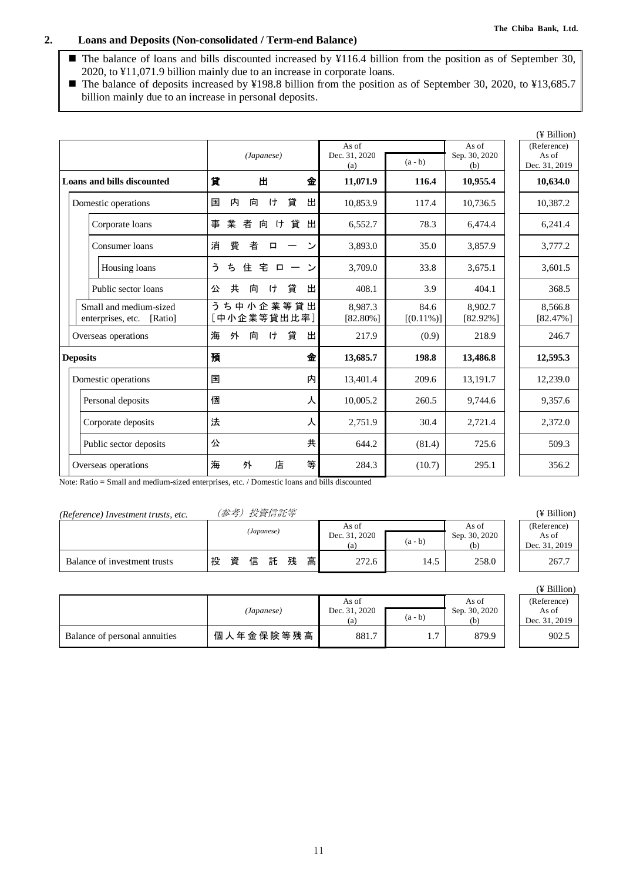### **2. Loans and Deposits (Non-consolidated / Term-end Balance)**

■ The balance of loans and bills discounted increased by ¥116.4 billion from the position as of September 30, 2020, to ¥11,071.9 billion mainly due to an increase in corporate loans.

■ The balance of deposits increased by ¥198.8 billion from the position as of September 30, 2020, to ¥13,685.7 billion mainly due to an increase in personal deposits.

|                                                        |                                          |                               |                      | (¥ Billion)                                                            |
|--------------------------------------------------------|------------------------------------------|-------------------------------|----------------------|------------------------------------------------------------------------|
|                                                        | (Japanese)                               | As of<br>Dec. 31, 2020<br>(a) | $(a - b)$            | As of<br>(Reference)<br>Sep. 30, 2020<br>As of<br>Dec. 31, 2019<br>(b) |
| <b>Loans and bills discounted</b>                      | 貸<br>Ш<br>金                              | 11,071.9                      | 116.4                | 10,955.4<br>10,634.0                                                   |
| Domestic operations                                    | 貸<br>出<br>内<br>向<br>ゖ<br>国               | 10,853.9                      | 117.4                | 10,736.5<br>10,387.2                                                   |
| Corporate loans                                        | 業<br>貸<br>者<br>向<br>$\uparrow$<br>出<br>事 | 6,552.7                       | 78.3                 | 6,474.4<br>6,241.4                                                     |
| Consumer loans                                         | 費<br>消<br>者<br>ン<br>口                    | 3,893.0                       | 35.0                 | 3,857.9<br>3,777.2                                                     |
| Housing loans                                          | う<br>ち<br>住<br>宅<br>$\sim$<br>$\Box$     | 3,709.0                       | 33.8                 | 3,675.1<br>3,601.5                                                     |
| Public sector loans                                    | 貸<br>共<br>出<br>向<br>ゖ<br>公               | 408.1                         | 3.9                  | 368.5<br>404.1                                                         |
| Small and medium-sized<br>enterprises, etc.<br>[Ratio] | うち中小企業等貸出<br>中小企業等貸出比率]                  | 8.987.3<br>$[82.80\%]$        | 84.6<br>$[(0.11\%)]$ | 8.902.7<br>8,566.8<br>$[82.92\%]$<br>$[82.47\%]$                       |
| Overseas operations                                    | 貸<br>出<br>海<br>外<br>向<br>ゖ               | 217.9                         | (0.9)                | 218.9<br>246.7                                                         |
| <b>Deposits</b>                                        | 預<br>金                                   | 13,685.7                      | 198.8                | 13,486.8<br>12,595.3                                                   |
| Domestic operations                                    | 内<br>国                                   | 13,401.4                      | 209.6                | 13,191.7<br>12,239.0                                                   |
| Personal deposits                                      | 個<br>人                                   | 10,005.2                      | 260.5                | 9,357.6<br>9,744.6                                                     |
| Corporate deposits                                     | 法<br>人                                   | 2,751.9                       | 30.4                 | 2,721.4<br>2,372.0                                                     |
| Public sector deposits                                 | 共<br>公                                   | 644.2                         | (81.4)               | 725.6<br>509.3                                                         |
| Overseas operations                                    | 店<br>等<br>海<br>外                         | 284.3                         | (10.7)               | 295.1<br>356.2                                                         |

Note: Ratio = Small and medium-sized enterprises, etc. / Domestic loans and bills discounted

| (Reference) Investment trusts, etc. | (参考) 投資信託等 | (¥ Billion) |
|-------------------------------------|------------|-------------|
|-------------------------------------|------------|-------------|

| TRETCHERE HILL COMMENT HUMM, CIC. |   |   |   | $\sim$ $\sim$ $\sim$ $\sim$ $\sim$ $\sim$ $\sim$ |   |   |                               |           |                               |                                       |
|-----------------------------------|---|---|---|--------------------------------------------------|---|---|-------------------------------|-----------|-------------------------------|---------------------------------------|
|                                   |   |   |   | (Japanese)                                       |   |   | As of<br>Dec. 31, 2020<br>(a) | $(a - b)$ | As of<br>Sep. 30, 2020<br>(h) | (Reference)<br>As of<br>Dec. 31, 2019 |
| Balance of investment trusts      | 投 | 資 | 信 | 託                                                | 残 | 高 | 272.6                         | 14.5      | 258.0                         | 267.7                                 |

|                               | (Japanese) | As of<br>Dec. 31, 2020<br>(a) | $(a - b)$ | As of<br>Sep. 30, 2020<br>(b) | (Reference)<br>As of<br>Dec. 31, 201 |
|-------------------------------|------------|-------------------------------|-----------|-------------------------------|--------------------------------------|
| Balance of personal annuities | 個人年金保険等残高  | 881.7                         | .         | 879.9                         | 902.5                                |

| As of         |  |
|---------------|--|
| Dec. 31, 2019 |  |
| 267.7         |  |

| п |
|---|
|---|

| (Reference)   |  |
|---------------|--|
| As of         |  |
| Dec. 31, 2019 |  |
| 902.5         |  |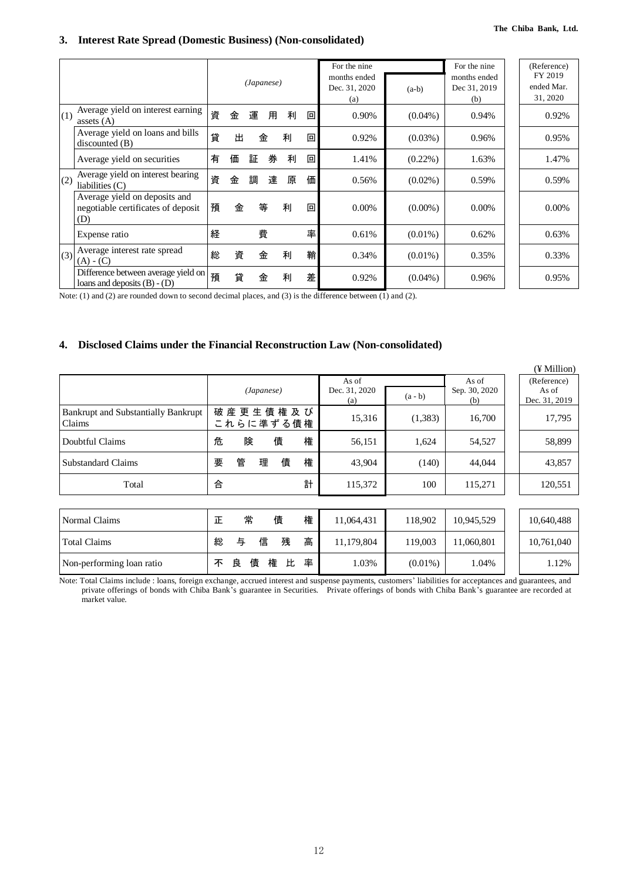#### **3. Interest Rate Spread (Domestic Business) (Non-consolidated)**

|     |                                                                            |   |   | (Japanese) |   |   |   | For the nine<br>months ended<br>Dec. 31, 2020<br>(a) | $(a-b)$    | For the nine<br>months ended<br>Dec 31, 2019<br>(b) | (Reference)<br>FY 2019<br>ended Mar.<br>31, 2020 |
|-----|----------------------------------------------------------------------------|---|---|------------|---|---|---|------------------------------------------------------|------------|-----------------------------------------------------|--------------------------------------------------|
| (1) | Average yield on interest earning<br>assets $(A)$                          | 資 | 金 | 運          | 用 | 利 | 回 | 0.90%                                                | $(0.04\%)$ | 0.94%                                               | 0.92%                                            |
|     | Average yield on loans and bills<br>discounted(B)                          | 貸 | 出 |            | 金 | 利 | 回 | 0.92%                                                | $(0.03\%)$ | 0.96%                                               | 0.95%                                            |
|     | Average yield on securities                                                | 有 | 価 | 証          | 券 | 利 | 回 | 1.41%                                                | $(0.22\%)$ | 1.63%                                               | 1.47%                                            |
| (2) | Average yield on interest bearing<br>liabilities $(C)$                     | 資 | 金 | 調          | 達 | 原 | 価 | 0.56%                                                | $(0.02\%)$ | 0.59%                                               | 0.59%                                            |
|     | Average yield on deposits and<br>negotiable certificates of deposit<br>(D) | 預 | 金 |            | 等 | 利 | 回 | 0.00%                                                | $(0.00\%)$ | $0.00\%$                                            | $0.00\%$                                         |
|     | Expense ratio                                                              | 経 |   |            | 費 |   | 率 | 0.61%                                                | $(0.01\%)$ | 0.62%                                               | 0.63%                                            |
| (3) | Average interest rate spread<br>$(A) - (C)$                                | 総 | 資 |            | 金 | 利 | 鞘 | 0.34%                                                | $(0.01\%)$ | 0.35%                                               | 0.33%                                            |
|     | Difference between average yield on<br>loans and deposits $(B) - (D)$      | 預 | 貸 |            | 金 | 利 | 差 | 0.92%                                                | $(0.04\%)$ | 0.96%                                               | 0.95%                                            |

Note: (1) and (2) are rounded down to second decimal places, and (3) is the difference between (1) and (2).

#### **4. Disclosed Claims under the Financial Reconstruction Law (Non-consolidated)**

|                                                      |                            |                                   |                      | (¥ Million)            |
|------------------------------------------------------|----------------------------|-----------------------------------|----------------------|------------------------|
|                                                      |                            | As of                             | As of                | (Reference)            |
|                                                      | (Japanese)                 | Dec. 31, 2020<br>$(a - b)$<br>(a) | Sep. 30, 2020<br>(b) | As of<br>Dec. 31, 2019 |
| <b>Bankrupt and Substantially Bankrupt</b><br>Claims | 破産更生債権及び<br>これらに準ずる債権      | (1,383)<br>15,316                 | 16,700               | 17,795                 |
| Doubtful Claims                                      | 権<br>危<br>債<br>険           | 56,151<br>1,624                   | 54,527               | 58,899                 |
| Substandard Claims                                   | 管<br>債<br>権<br>要<br>理      | 43,904<br>(140)                   | 44.044               | 43,857                 |
| Total                                                | 計<br>合                     | 115,372<br>100                    | 115,271              | 120,551                |
|                                                      |                            |                                   |                      |                        |
| Normal Claims                                        | 権<br>常<br>債<br>正           | 11,064,431<br>118,902             | 10,945,529           | 10,640,488             |
| Total Claims                                         | 高<br>信<br>残<br>与<br>総      | 11,179,804<br>119,003             | 11.060.801           | 10,761,040             |
| Non-performing loan ratio                            | 率<br>良<br>債<br>権<br>比<br>不 | 1.03%<br>$(0.01\%)$               | 1.04%                | 1.12%                  |

Note: Total Claims include : loans, foreign exchange, accrued interest and suspense payments, customers' liabilities for acceptances and guarantees, and private offerings of bonds with Chiba Bank's guarantee in Securities. Private offerings of bonds with Chiba Bank's guarantee are recorded at market value.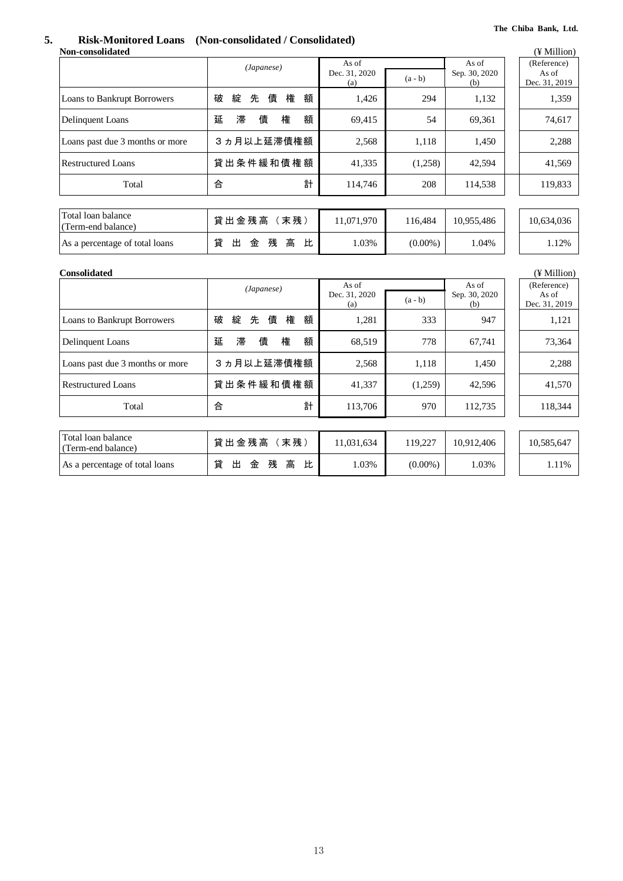## **5. Risk-Monitored Loans (Non-consolidated / Consolidated)**

|                                          | (Japanese)                 | As of                |            | As of                |                                       |  |  |  |  |  |  |
|------------------------------------------|----------------------------|----------------------|------------|----------------------|---------------------------------------|--|--|--|--|--|--|
|                                          |                            | Dec. 31, 2020<br>(a) | $(a - b)$  | Sep. 30, 2020<br>(b) | (Reference)<br>As of<br>Dec. 31, 2019 |  |  |  |  |  |  |
| <b>Loans to Bankrupt Borrowers</b>       | 債<br>権<br>破<br>綻<br>先<br>額 | 1,426                | 294        | 1,132                | 1,359                                 |  |  |  |  |  |  |
| Delinquent Loans                         | 延<br>滞<br>債<br>額<br>権      | 69,415               | 54         | 69,361               | 74,617                                |  |  |  |  |  |  |
| Loans past due 3 months or more          | 3ヵ月以上延滞債権額                 | 2,568                | 1,118      | 1,450                | 2,288                                 |  |  |  |  |  |  |
| <b>Restructured Loans</b>                | 貸出条件緩和債権額                  | 41,335               | (1,258)    | 42,594               | 41,569                                |  |  |  |  |  |  |
| Total                                    | 合<br>計                     | 114,746              | 208        | 114,538              | 119,833                               |  |  |  |  |  |  |
|                                          |                            |                      |            |                      |                                       |  |  |  |  |  |  |
| Total loan balance<br>(Term-end balance) | 貸出金残高 (末残)                 | 11,071,970           | 116,484    | 10,955,486           | 10,634,036                            |  |  |  |  |  |  |
| As a percentage of total loans           | 貸<br>出<br>金<br>残<br>高<br>比 | 1.03%                | $(0.00\%)$ | 1.04%                | 1.12%                                 |  |  |  |  |  |  |
| <b>Consolidated</b>                      | (¥ Million)                |                      |            |                      |                                       |  |  |  |  |  |  |
|                                          | (Japanese)                 | As of                |            | As of                | (Reference)                           |  |  |  |  |  |  |
|                                          |                            | Dec. 31, 2020<br>(a) | $(a - b)$  | Sep. 30, 2020<br>(b) | As of<br>Dec. 31, 2019                |  |  |  |  |  |  |
| <b>Loans to Bankrupt Borrowers</b>       | 債<br>綻<br>先<br>権<br>額<br>破 | 1,281                | 333        | 947                  | 1,121                                 |  |  |  |  |  |  |
| Delinquent Loans                         | 延<br>滞<br>債<br>権<br>額      | 68,519               | 778        | 67,741               | 73,364                                |  |  |  |  |  |  |
| Loans past due 3 months or more          | 3 ヵ月以上延滞債権額                | 2,568                | 1,118      | 1,450                | 2,288                                 |  |  |  |  |  |  |
| <b>Restructured Loans</b>                | 貸出条件緩和債権額                  | 41,337               | (1,259)    | 42,596               | 41,570                                |  |  |  |  |  |  |
| Total                                    | 計<br>合                     | 113,706              | 970        | 112,735              | 118,344                               |  |  |  |  |  |  |

| Total loan balance<br>(Term-end balance) | 末残<br>貸出金残高                | 1,031,634 | 19.227     | 10.912.406 | 10,585,647 |
|------------------------------------------|----------------------------|-----------|------------|------------|------------|
| As a percentage of total loans           | 貸<br>比<br>残<br>高<br>出<br>金 | .03%      | $(0.00\%)$ | .03%       | .11%       |

13